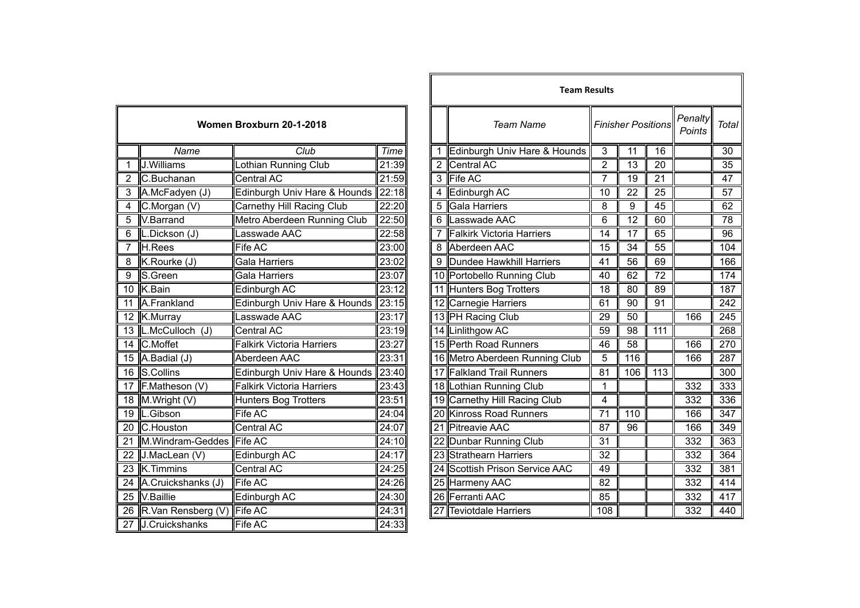|                 | Women Broxburn 20-1-2018 |                                  |       |  |  |  |  |  |  |
|-----------------|--------------------------|----------------------------------|-------|--|--|--|--|--|--|
|                 | Club<br>Name             |                                  |       |  |  |  |  |  |  |
| 1               | J.Williams               | Lothian Running Club             | 21:39 |  |  |  |  |  |  |
| $\overline{2}$  | C.Buchanan               | Central AC                       | 21:59 |  |  |  |  |  |  |
| 3               | A.McFadyen (J)           | Edinburgh Univ Hare & Hounds     | 22:18 |  |  |  |  |  |  |
| $\overline{4}$  | C.Morgan (V)             | Carnethy Hill Racing Club        | 22:20 |  |  |  |  |  |  |
| 5               | V.Barrand                | Metro Aberdeen Running Club      | 22:50 |  |  |  |  |  |  |
| 6               | L.Dickson (J)            | Lasswade AAC                     | 22:58 |  |  |  |  |  |  |
| 7               | H.Rees                   | Fife AC                          | 23:00 |  |  |  |  |  |  |
| 8               | K.Rourke (J)             | Gala Harriers                    | 23:02 |  |  |  |  |  |  |
| 9               | S.Green                  | Gala Harriers                    | 23:07 |  |  |  |  |  |  |
| $\overline{1}0$ | K.Bain                   | Edinburgh AC                     | 23:12 |  |  |  |  |  |  |
| 11              | A.Frankland              | Edinburgh Univ Hare & Hounds     | 23:15 |  |  |  |  |  |  |
| 12              | K.Murray                 | Lasswade AAC                     | 23:17 |  |  |  |  |  |  |
| $\overline{13}$ | L.McCulloch (J)          | Central AC                       | 23:19 |  |  |  |  |  |  |
| 14              | C.Moffet                 | <b>Falkirk Victoria Harriers</b> | 23:27 |  |  |  |  |  |  |
| 15              | A.Badial (J)             | Aberdeen AAC                     | 23:31 |  |  |  |  |  |  |
| 16              | S.Collins                | Edinburgh Univ Hare & Hounds     | 23:40 |  |  |  |  |  |  |
| 17              | F.Matheson (V)           | <b>Falkirk Victoria Harriers</b> | 23:43 |  |  |  |  |  |  |
| 18              | M.Wright (V)             | <b>Hunters Bog Trotters</b>      | 23:51 |  |  |  |  |  |  |
| 19              | L.Gibson                 | Fife AC                          | 24:04 |  |  |  |  |  |  |
| 20              | C.Houston                | Central AC                       | 24:07 |  |  |  |  |  |  |
| 21              | M.Windram-Geddes Fife AC |                                  | 24:10 |  |  |  |  |  |  |
| 22              | J.MacLean (V)            | Edinburgh AC                     | 24:17 |  |  |  |  |  |  |
| 23              | K.Timmins                | <b>Central AC</b>                | 24:25 |  |  |  |  |  |  |
| 24              | A.Cruickshanks (J)       | Fife AC                          | 24:26 |  |  |  |  |  |  |
| $\overline{25}$ | V.Baillie                | Edinburgh AC                     | 24:30 |  |  |  |  |  |  |
| $\overline{26}$ | R.Van Rensberg (V)       | <b>Fife AC</b>                   | 24:31 |  |  |  |  |  |  |
| 27              | J.Cruickshanks           | Fife AC                          | 24:33 |  |  |  |  |  |  |

|                         |                               |                                  |       | <b>Team Results</b> |                                |                 |                           |                  |                   |              |
|-------------------------|-------------------------------|----------------------------------|-------|---------------------|--------------------------------|-----------------|---------------------------|------------------|-------------------|--------------|
|                         |                               | Women Broxburn 20-1-2018         |       |                     | <b>Team Name</b>               |                 | <b>Finisher Positions</b> |                  | Penalty<br>Points | <b>Total</b> |
|                         | Name                          | Club                             | Time  |                     | 1 Edinburgh Univ Hare & Hounds | 3               | 11                        | 16               |                   | 30           |
|                         | J.Williams                    | Lothian Running Club             | 21:39 |                     | 2 Central AC                   | $\overline{2}$  | 13                        | 20               |                   | 35           |
|                         | C.Buchanan                    | Central AC                       | 21:59 |                     | 3 Fife AC                      | 7               | 19                        | 21               |                   | 47           |
|                         | A.McFadyen (J)                | Edinburgh Univ Hare & Hounds     | 22:18 |                     | 4 Edinburgh AC                 | 10              | 22                        | 25               |                   | 57           |
| $\overline{\mathbf{4}}$ | C.Morgan (V)                  | Carnethy Hill Racing Club        | 22:20 |                     | 5 Gala Harriers                | 8               | 9                         | 45               |                   | 62           |
| 5                       | V.Barrand                     | Metro Aberdeen Running Club      | 22:50 |                     | 6 Lasswade AAC                 | 6               | 12                        | 60               |                   | 78           |
| $\overline{6}$          | L.Dickson (J)                 | Lasswade AAC                     | 22:58 |                     | 7 Falkirk Victoria Harriers    | 14              | $\overline{17}$           | 65               |                   | 96           |
| $\overline{7}$          | H.Rees                        | Fife AC                          | 23:00 |                     | 8 Aberdeen AAC                 | 15              | 34                        | 55               |                   | 104          |
| 8                       | $K$ . Rourke $(J)$            | Gala Harriers                    | 23:02 |                     | 9 Dundee Hawkhill Harriers     | 41              | 56                        | 69               |                   | 166          |
| 9                       | S.Green                       | Gala Harriers                    | 23:07 |                     | 10 Portobello Running Club     | 40              | 62                        | $\overline{72}$  |                   | 174          |
|                         | 10 K.Bain                     | Edinburgh AC                     | 23:12 |                     | 11 Hunters Bog Trotters        | 18              | 80                        | 89               |                   | 187          |
|                         | 11 A.Frankland                | Edinburgh Univ Hare & Hounds     | 23:15 |                     | 12 Carnegie Harriers           | 61              | 90                        | 91               |                   | 242          |
|                         | 12 K.Murray                   | Lasswade AAC                     | 23:17 |                     | 13 PH Racing Club              | 29              | 50                        |                  | 166               | 245          |
|                         | 13  L.McCulloch (J)           | Central AC                       | 23:19 |                     | 14 Linlithgow AC               | 59              | 98                        | $\overline{111}$ |                   | 268          |
|                         | 14 C.Moffet                   | <b>Falkirk Victoria Harriers</b> | 23:27 |                     | 15 Perth Road Runners          | 46              | $\overline{58}$           |                  | 166               | 270          |
|                         | 15 $A.$ Badial (J)            | Aberdeen AAC                     | 23:31 |                     | 16 Metro Aberdeen Running Club | 5               | 116                       |                  | 166               | 287          |
|                         | 16 S.Collins                  | Edinburgh Univ Hare & Hounds     | 23:40 |                     | 17 Falkland Trail Runners      | 81              | 106                       | 113              |                   | 300          |
|                         | 17 F.Matheson (V)             | Falkirk Victoria Harriers        | 23:43 |                     | 18 Lothian Running Club        | 1               |                           |                  | 332               | 333          |
|                         | 18 M.Wright (V)               | <b>Hunters Bog Trotters</b>      | 23:51 |                     | 19 Carnethy Hill Racing Club   | 4               |                           |                  | 332               | 336          |
|                         | 19  L.Gibson                  | Fife AC                          | 24:04 |                     | 20 Kinross Road Runners        | 71              | 110                       |                  | 166               | 347          |
|                         | 20 C.Houston                  | <b>Central AC</b>                | 24:07 |                     | 21 Pitreavie AAC               | 87              | $\overline{96}$           |                  | 166               | 349          |
|                         | 21 M.Windram-Geddes Fife AC   |                                  | 24:10 |                     | 22 Dunbar Running Club         | 31              |                           |                  | 332               | 363          |
|                         | 22 J.MacLean (V)              | Edinburgh AC                     | 24:17 |                     | 23 Strathearn Harriers         | $\overline{32}$ |                           |                  | 332               | 364          |
|                         | 23 K.Timmins                  | <b>Central AC</b>                | 24:25 |                     | 24 Scottish Prison Service AAC | 49              |                           |                  | 332               | 381          |
|                         | 24 A.Cruickshanks (J)         | <b>Fife AC</b>                   | 24:26 |                     | 25 Harmeny AAC                 | 82              |                           |                  | 332               | 414          |
|                         | 25 V.Baillie                  | Edinburgh AC                     | 24:30 |                     | 26 Ferranti AAC                | 85              |                           |                  | 332               | 417          |
|                         | 26 R.Van Rensberg (V) Fife AC |                                  | 24:31 |                     | 27 Teviotdale Harriers         | 108             |                           |                  | 332               | 440          |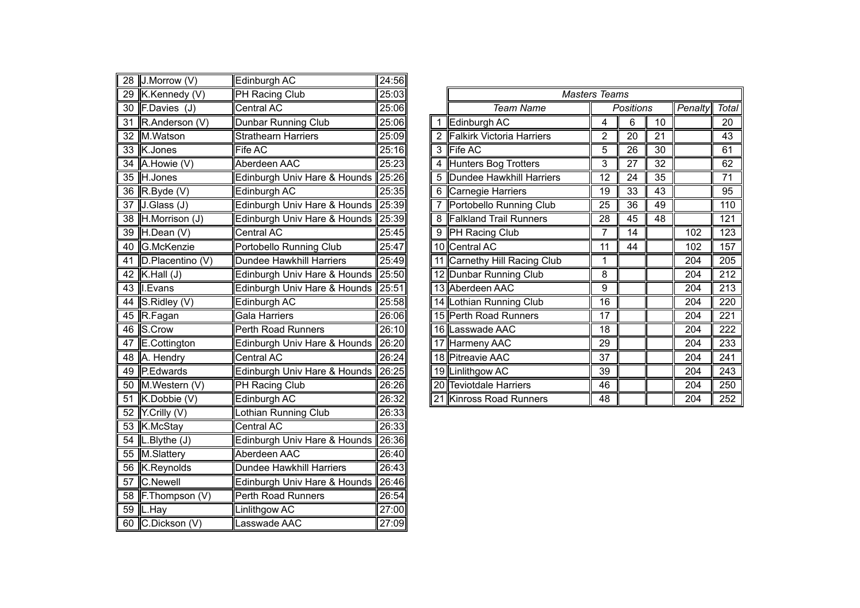| 28              | J.Morrow (V)     | Edinburgh AC                    | 24:56 |
|-----------------|------------------|---------------------------------|-------|
| 29              | K.Kennedy (V)    | PH Racing Club                  | 25:03 |
| 30              | F.Davies (J)     | Central AC                      | 25:06 |
| $\overline{31}$ | R.Anderson (V)   | Dunbar Running Club             | 25:06 |
| 32              | M.Watson         | <b>Strathearn Harriers</b>      | 25:09 |
| 33              | K.Jones          | Fife AC                         | 25:16 |
| $\overline{34}$ | A.Howie (V)      | Aberdeen AAC                    | 25:23 |
| 35              | H.Jones          | Edinburgh Univ Hare & Hounds    | 25:26 |
| 36              | R.Byde (V)       | Edinburgh AC                    | 25:35 |
| $\overline{37}$ | J.Glass (J)      | Edinburgh Univ Hare & Hounds    | 25:39 |
| $\overline{38}$ | H.Morrison (J)   | Edinburgh Univ Hare & Hounds    | 25:39 |
| $\overline{39}$ | H.Dean (V)       | <b>Central AC</b>               | 25:45 |
| 40              | G.McKenzie       | Portobello Running Club         | 25:47 |
| $\overline{41}$ | D.Placentino (V) | <b>Dundee Hawkhill Harriers</b> | 25:49 |
| $\overline{42}$ | K.Hall (J)       | Edinburgh Univ Hare & Hounds    | 25:50 |
| 43              | I.Evans          | Edinburgh Univ Hare & Hounds    | 25:51 |
| 44              | S.Ridley (V)     | Edinburgh AC                    | 25:58 |
| 45              | R.Fagan          | <b>Gala Harriers</b>            | 26:06 |
| 46              | S.Crow           | Perth Road Runners              | 26:10 |
| 47              | E.Cottington     | Edinburgh Univ Hare & Hounds    | 26:20 |
| 48              | A. Hendry        | Central AC                      | 26:24 |
| 49              | P.Edwards        | Edinburgh Univ Hare & Hounds    | 26:25 |
| 50              | M.Western (V)    | <b>PH Racing Club</b>           | 26:26 |
| 51              | K.Dobbie (V)     | Edinburgh AC                    | 26:32 |
| 52              | Y.Crilly (V)     | Lothian Running Club            | 26:33 |
| 53              | K.McStay         | Central AC                      | 26:33 |
| 54              | L.Blythe (J)     | Edinburgh Univ Hare & Hounds    | 26:36 |
| $\overline{55}$ | M.Slattery       | Aberdeen AAC                    | 26:40 |
| $\overline{56}$ | K.Reynolds       | <b>Dundee Hawkhill Harriers</b> | 26:43 |
| 57              | C.Newell         | Edinburgh Univ Hare & Hounds    | 26:46 |
| 58              | F.Thompson (V)   | <b>Perth Road Runners</b>       | 26:54 |
| 59              | L.Hay            | Linlithgow AC                   | 27:00 |
| 60              | C.Dickson (V)    | asswade AAC                     | 27:09 |

| 29 K.Kennedy (V)            | <b>PH Racing Club</b>              | 25:03 |  | <b>Masters Teams</b>             |    |           |    |         |                  |
|-----------------------------|------------------------------------|-------|--|----------------------------------|----|-----------|----|---------|------------------|
| 30 F.Davies (J)             | Central AC                         | 25:06 |  | <b>Team Name</b>                 |    | Positions |    | Penalty | <b>Total</b>     |
| 31 R.Anderson (V)           | Dunbar Running Club                | 25:06 |  | Edinburgh AC                     | 4  | 6         | 10 |         | 20               |
| 32 M.Watson                 | <b>Strathearn Harriers</b>         | 25:09 |  | <b>Falkirk Victoria Harriers</b> | 2  | 20        | 21 |         | 43               |
| 33 K.Jones                  | Fife AC                            | 25:16 |  | 3 Fife AC                        | 5  | 26        | 30 |         | 61               |
| 34 A.Howie (V)              | Aberdeen AAC                       | 25:23 |  | 4 Hunters Bog Trotters           | 3  | 27        | 32 |         | 62               |
| 35 H.Jones                  | Edinburgh Univ Hare & Hounds 25:26 |       |  | 5 Dundee Hawkhill Harriers       | 12 | 24        | 35 |         | 71               |
| 36 $R$ . Byde (V)           | Edinburgh AC                       | 25:35 |  | 6 Carnegie Harriers              | 19 | 33        | 43 |         | 95               |
| $\overline{37}$ J.Glass (J) | Edinburgh Univ Hare & Hounds 25:39 |       |  | Portobello Running Club          | 25 | 36        | 49 |         | 110              |
| 38 H.Morrison (J)           | Edinburgh Univ Hare & Hounds 25:39 |       |  | 8 Falkland Trail Runners         | 28 | 45        | 48 |         | 121              |
| 39 H.Dean (V)               | Central AC                         | 25:45 |  | 9 PH Racing Club                 |    | 14        |    | 102     | 123              |
| 40 G.McKenzie               | Portobello Running Club            | 25:47 |  | 10 Central AC                    | 11 | 44        |    | 102     | 157              |
| 41 D.Placentino (V)         | Dundee Hawkhill Harriers           | 25:49 |  | 11 Carnethy Hill Racing Club     |    |           |    | 204     | 205              |
| 42 K.Hall $(J)$             | Edinburgh Univ Hare & Hounds 25:50 |       |  | 12 Dunbar Running Club           | 8  |           |    | 204     | $\overline{212}$ |
| 43 I.Evans                  | Edinburgh Univ Hare & Hounds 25:51 |       |  | 13 Aberdeen AAC                  | 9  |           |    | 204     | $\overline{213}$ |
| 44 S.Ridley $(V)$           | Edinburgh AC                       | 25:58 |  | 14 Lothian Running Club          | 16 |           |    | 204     | 220              |
| 45 R.Fagan                  | Gala Harriers                      | 26:06 |  | 15 Perth Road Runners            | 17 |           |    | 204     | $\overline{221}$ |
| 46 S.Crow                   | Perth Road Runners                 | 26:10 |  | 16 Lasswade AAC                  | 18 |           |    | 204     | $\overline{222}$ |
| 47 E.Cottington             | Edinburgh Univ Hare & Hounds 26:20 |       |  | 17 Harmeny AAC                   | 29 |           |    | 204     | 233              |
| 48 A. Hendry                | Central AC                         | 26:24 |  | 18 Pitreavie AAC                 | 37 |           |    | 204     | 241              |
| 49 P.Edwards                | Edinburgh Univ Hare & Hounds 26:25 |       |  | 19 Linlithgow AC                 | 39 |           |    | 204     | 243              |
| 50 M.Western (V)            | PH Racing Club                     | 26:26 |  | 20 Teviotdale Harriers           | 46 |           |    | 204     | 250              |
| 51 K.Dobbie (V)             | Edinburgh AC                       | 26:32 |  | 21 Kinross Road Runners          | 48 |           |    | 204     | 252              |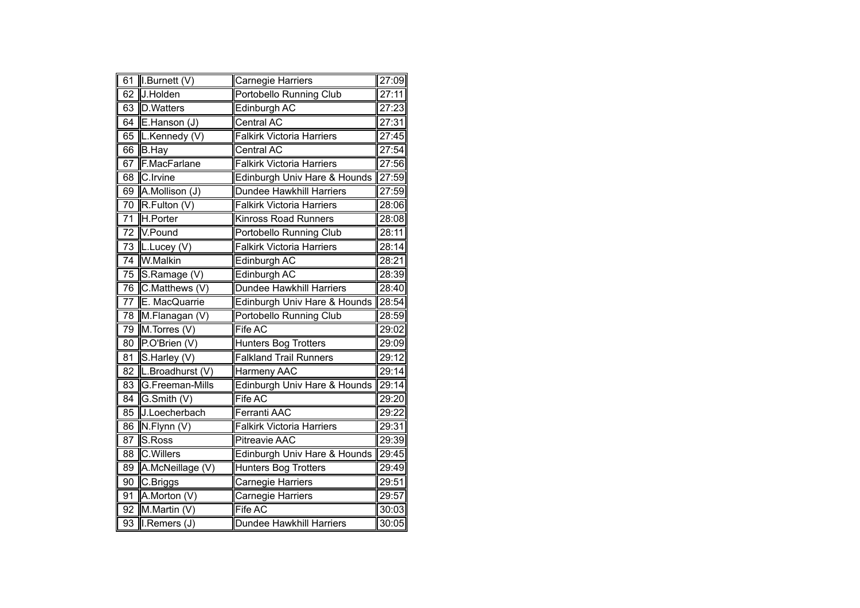| 61               | I.Burnett (V)    | Carnegie Harriers                | 27:09 |
|------------------|------------------|----------------------------------|-------|
| 62               | J.Holden         | <b>Portobello Running Club</b>   | 27:11 |
| 63               | <b>D.Watters</b> | Edinburgh AC                     | 27:23 |
| 64               | E.Hanson (J)     | Central AC                       | 27:31 |
| 65               | L.Kennedy (V)    | <b>Falkirk Victoria Harriers</b> | 27:45 |
| 66               | <b>B.Hay</b>     | Central AC                       | 27:54 |
| 67               | F.MacFarlane     | <b>Falkirk Victoria Harriers</b> | 27:56 |
| 68               | C.Irvine         | Edinburgh Univ Hare & Hounds     | 27:59 |
| 69               | A.Mollison (J)   | <b>Dundee Hawkhill Harriers</b>  | 27:59 |
| 70               | R.Fulton (V)     | <b>Falkirk Victoria Harriers</b> | 28:06 |
| 71               | H.Porter         | <b>Kinross Road Runners</b>      | 28:08 |
| 72               | V.Pound          | Portobello Running Club          | 28:11 |
| $\overline{73}$  | $L.$ Lucey (V)   | <b>Falkirk Victoria Harriers</b> | 28:14 |
| $\overline{7}$ 4 | W.Malkin         | Edinburgh AC                     | 28:21 |
| 75               | S.Ramage (V)     | Edinburgh AC                     | 28:39 |
| 76               | C.Matthews (V)   | Dundee Hawkhill Harriers         | 28:40 |
| 77               | E. MacQuarrie    | Edinburgh Univ Hare & Hounds     | 28:54 |
| 78               | M.Flanagan (V)   | <b>Portobello Running Club</b>   | 28:59 |
| 79               | M.Torres (V)     | <b>Fife AC</b>                   | 29:02 |
| 80               | P.O'Brien (V)    | Hunters Bog Trotters             | 29:09 |
| $\overline{81}$  | S.Harley (V)     | <b>Falkland Trail Runners</b>    | 29:12 |
| 82               | L.Broadhurst (V) | Harmeny AAC                      | 29:14 |
| 83               | G.Freeman-Mills  | Edinburgh Univ Hare & Hounds     | 29:14 |
| 84               | G.Smith (V)      | Fife AC                          | 29:20 |
| 85               | J.Loecherbach    | Ferranti AAC                     | 29:22 |
| 86               | N.Flynn (V)      | <b>Falkirk Victoria Harriers</b> | 29:31 |
| 87               | S.Ross           | <b>Pitreavie AAC</b>             | 29:39 |
| 88               | <b>C.Willers</b> | Edinburgh Univ Hare & Hounds     | 29:45 |
| 89               | A.McNeillage (V) | <b>Hunters Bog Trotters</b>      | 29:49 |
| 90               | C.Briggs         | Carnegie Harriers                | 29:51 |
| 91               | A.Morton (V)     | Carnegie Harriers                | 29:57 |
| 92               | M.Martin (V)     | Fife AC                          | 30:03 |
| 93               | I.Remers (J)     | Dundee Hawkhill Harriers         | 30:05 |